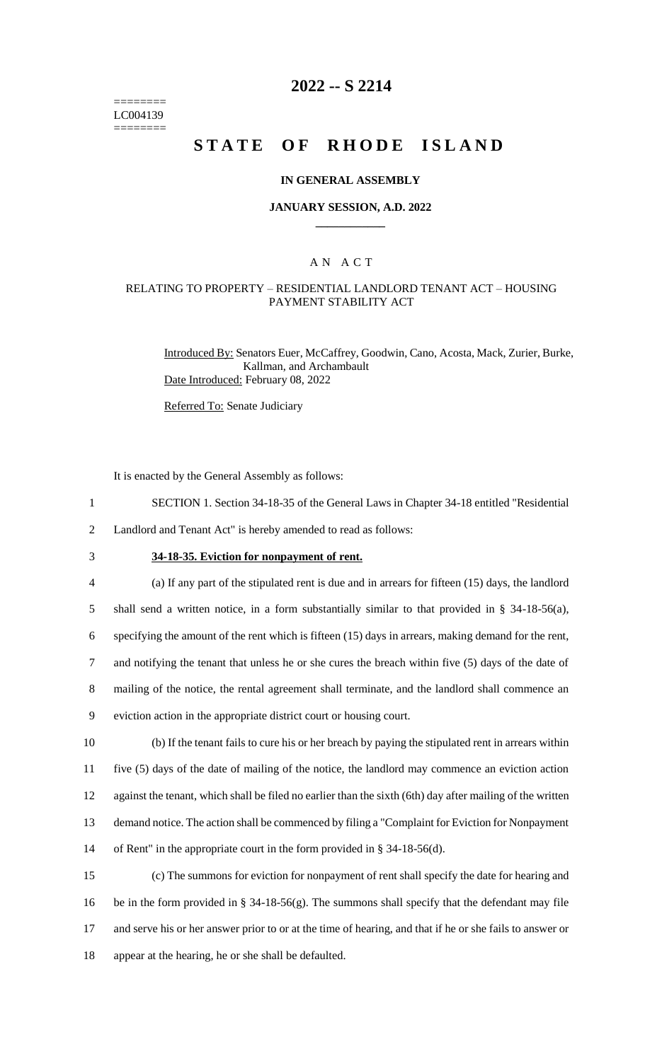======== LC004139 ========

# **2022 -- S 2214**

# **STATE OF RHODE ISLAND**

#### **IN GENERAL ASSEMBLY**

#### **JANUARY SESSION, A.D. 2022 \_\_\_\_\_\_\_\_\_\_\_\_**

### A N A C T

### RELATING TO PROPERTY – RESIDENTIAL LANDLORD TENANT ACT – HOUSING PAYMENT STABILITY ACT

Introduced By: Senators Euer, McCaffrey, Goodwin, Cano, Acosta, Mack, Zurier, Burke, Kallman, and Archambault Date Introduced: February 08, 2022

Referred To: Senate Judiciary

It is enacted by the General Assembly as follows:

- 1 SECTION 1. Section 34-18-35 of the General Laws in Chapter 34-18 entitled "Residential
- 2 Landlord and Tenant Act" is hereby amended to read as follows:

# 3 **34-18-35. Eviction for nonpayment of rent.**

 (a) If any part of the stipulated rent is due and in arrears for fifteen (15) days, the landlord shall send a written notice, in a form substantially similar to that provided in § 34-18-56(a), specifying the amount of the rent which is fifteen (15) days in arrears, making demand for the rent, and notifying the tenant that unless he or she cures the breach within five (5) days of the date of mailing of the notice, the rental agreement shall terminate, and the landlord shall commence an eviction action in the appropriate district court or housing court. (b) If the tenant fails to cure his or her breach by paying the stipulated rent in arrears within

 five (5) days of the date of mailing of the notice, the landlord may commence an eviction action against the tenant, which shall be filed no earlier than the sixth (6th) day after mailing of the written demand notice. The action shall be commenced by filing a "Complaint for Eviction for Nonpayment of Rent" in the appropriate court in the form provided in § 34-18-56(d).

 (c) The summons for eviction for nonpayment of rent shall specify the date for hearing and be in the form provided in § 34-18-56(g). The summons shall specify that the defendant may file and serve his or her answer prior to or at the time of hearing, and that if he or she fails to answer or appear at the hearing, he or she shall be defaulted.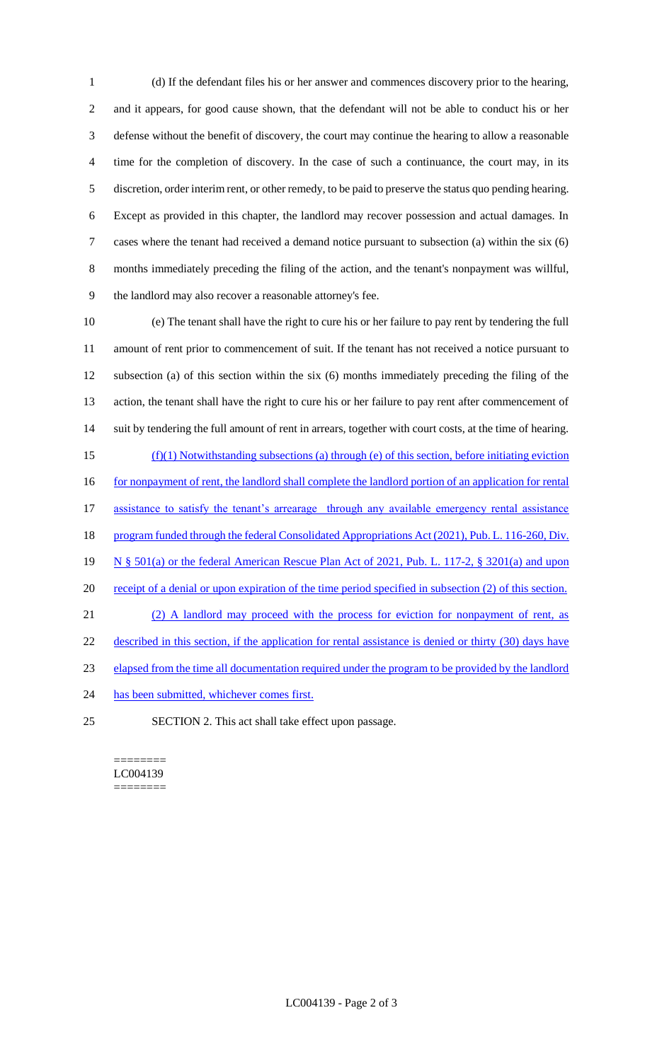(d) If the defendant files his or her answer and commences discovery prior to the hearing, and it appears, for good cause shown, that the defendant will not be able to conduct his or her defense without the benefit of discovery, the court may continue the hearing to allow a reasonable time for the completion of discovery. In the case of such a continuance, the court may, in its discretion, order interim rent, or other remedy, to be paid to preserve the status quo pending hearing. Except as provided in this chapter, the landlord may recover possession and actual damages. In cases where the tenant had received a demand notice pursuant to subsection (a) within the six (6) months immediately preceding the filing of the action, and the tenant's nonpayment was willful, the landlord may also recover a reasonable attorney's fee.

 (e) The tenant shall have the right to cure his or her failure to pay rent by tendering the full amount of rent prior to commencement of suit. If the tenant has not received a notice pursuant to subsection (a) of this section within the six (6) months immediately preceding the filing of the action, the tenant shall have the right to cure his or her failure to pay rent after commencement of suit by tendering the full amount of rent in arrears, together with court costs, at the time of hearing. (f)(1) Notwithstanding subsections (a) through (e) of this section, before initiating eviction 16 for nonpayment of rent, the landlord shall complete the landlord portion of an application for rental 17 assistance to satisfy the tenant's arrearage through any available emergency rental assistance 18 program funded through the federal Consolidated Appropriations Act (2021), Pub. L. 116-260, Div. N § 501(a) or the federal American Rescue Plan Act of 2021, Pub. L. 117-2, § 3201(a) and upon 20 receipt of a denial or upon expiration of the time period specified in subsection (2) of this section. (2) A landlord may proceed with the process for eviction for nonpayment of rent, as 22 described in this section, if the application for rental assistance is denied or thirty (30) days have elapsed from the time all documentation required under the program to be provided by the landlord 24 has been submitted, whichever comes first. SECTION 2. This act shall take effect upon passage.

======== LC004139 ========